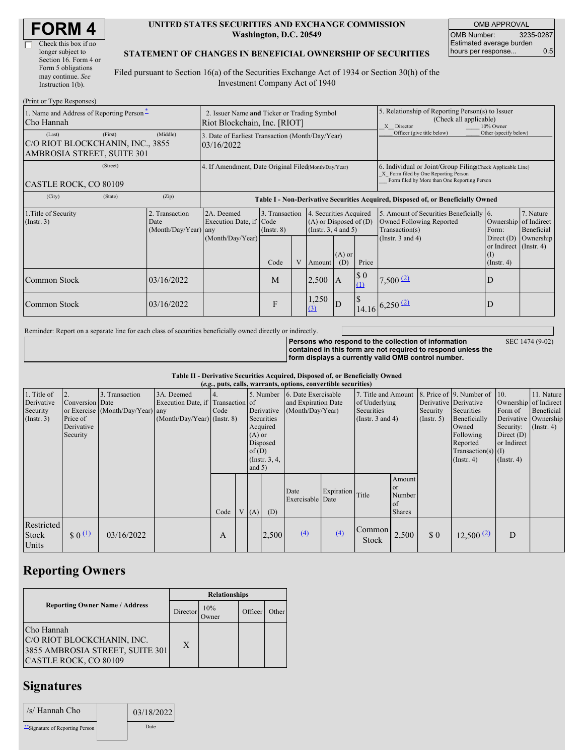| <b>FORM 4</b> |
|---------------|
|---------------|

 $\Box$ 

(Print or Type Responses)

#### **UNITED STATES SECURITIES AND EXCHANGE COMMISSION Washington, D.C. 20549**

OMB APPROVAL OMB Number: 3235-0287 Estimated average burden hours per response... 0.5

#### **STATEMENT OF CHANGES IN BENEFICIAL OWNERSHIP OF SECURITIES**

Filed pursuant to Section 16(a) of the Securities Exchange Act of 1934 or Section 30(h) of the Investment Company Act of 1940

| 1. Name and Address of Reporting Person-<br>Cho Hannah                   | 2. Issuer Name and Ticker or Trading Symbol<br>Riot Blockchain, Inc. [RIOT] |                                                |                                                                                  |                                                                                                                   |  |                                                                                       | 5. Relationship of Reporting Person(s) to Issuer<br>(Check all applicable)<br>10% Owner<br>X Director |                                    |                                                                                                                                                    |                                                   |                        |
|--------------------------------------------------------------------------|-----------------------------------------------------------------------------|------------------------------------------------|----------------------------------------------------------------------------------|-------------------------------------------------------------------------------------------------------------------|--|---------------------------------------------------------------------------------------|-------------------------------------------------------------------------------------------------------|------------------------------------|----------------------------------------------------------------------------------------------------------------------------------------------------|---------------------------------------------------|------------------------|
| (Last)<br>C/O RIOT BLOCKCHANIN, INC., 3855<br>AMBROSIA STREET, SUITE 301 | (First)                                                                     | (Middle)                                       | 3. Date of Earliest Transaction (Month/Day/Year)<br>03/16/2022                   |                                                                                                                   |  |                                                                                       |                                                                                                       |                                    | Officer (give title below)                                                                                                                         | Other (specify below)                             |                        |
| (Street)<br>CASTLE ROCK, CO 80109                                        |                                                                             |                                                | 4. If Amendment, Date Original Filed(Month/Day/Year)                             |                                                                                                                   |  |                                                                                       |                                                                                                       |                                    | 6. Individual or Joint/Group Filing Check Applicable Line)<br>X Form filed by One Reporting Person<br>Form filed by More than One Reporting Person |                                                   |                        |
| (City)                                                                   | (State)                                                                     | (Zip)                                          | Table I - Non-Derivative Securities Acquired, Disposed of, or Beneficially Owned |                                                                                                                   |  |                                                                                       |                                                                                                       |                                    |                                                                                                                                                    |                                                   |                        |
| 1. Title of Security<br>$($ Instr. 3 $)$                                 |                                                                             | 2. Transaction<br>Date<br>(Month/Day/Year) any | 2A. Deemed<br>Execution Date, if Code                                            | 3. Transaction<br>4. Securities Acquired<br>$(A)$ or Disposed of $(D)$<br>(Insert. 3, 4 and 5)<br>$($ Instr. $8)$ |  | 5. Amount of Securities Beneficially 6.<br>Owned Following Reported<br>Transaction(s) | Ownership of Indirect<br>Form:                                                                        | 7. Nature<br>Beneficial            |                                                                                                                                                    |                                                   |                        |
|                                                                          |                                                                             |                                                | (Month/Day/Year)                                                                 | Code                                                                                                              |  | Amount                                                                                | $(A)$ or<br>(D)                                                                                       | Price                              | (Instr. $3$ and $4$ )                                                                                                                              | or Indirect (Instr. 4)<br>(I)<br>$($ Instr. 4 $)$ | Direct $(D)$ Ownership |
| Common Stock                                                             |                                                                             | 03/16/2022                                     |                                                                                  | M                                                                                                                 |  | $2,500$ A                                                                             |                                                                                                       | $\boldsymbol{\mathsf{S}}$ 0<br>(1) | $7,500$ $(2)$                                                                                                                                      | D                                                 |                        |
| Common Stock                                                             |                                                                             | 03/16/2022                                     |                                                                                  | F                                                                                                                 |  | 1,250<br>$\Omega$                                                                     | ID                                                                                                    |                                    | $14.16$ 6,250 (2)                                                                                                                                  | D                                                 |                        |

Reminder: Report on a separate line for each class of securities beneficially owned directly or indirectly.

**Persons who respond to the collection of information contained in this form are not required to respond unless the form displays a currently valid OMB control number.** SEC 1474 (9-02)

**Table II - Derivative Securities Acquired, Disposed of, or Beneficially Owned**

|                                                           |                                                             |                                                    |                                                                                  |      |                               |                                                                                  | (e.g., puts, calls, warrants, options, convertible securities) |                  |                                                                             |                                                                     |                                                       |                                                                                                                                          |                                                                                                  |                                                                      |
|-----------------------------------------------------------|-------------------------------------------------------------|----------------------------------------------------|----------------------------------------------------------------------------------|------|-------------------------------|----------------------------------------------------------------------------------|----------------------------------------------------------------|------------------|-----------------------------------------------------------------------------|---------------------------------------------------------------------|-------------------------------------------------------|------------------------------------------------------------------------------------------------------------------------------------------|--------------------------------------------------------------------------------------------------|----------------------------------------------------------------------|
| 1. Title of<br>Derivative<br>Security<br>$($ Instr. 3 $)$ | 2.<br>Conversion Date<br>Price of<br>Derivative<br>Security | 3. Transaction<br>or Exercise (Month/Day/Year) any | 3A. Deemed<br>Execution Date, if Transaction of<br>$(Month/Day/Year)$ (Instr. 8) | Code | $(A)$ or<br>of(D)<br>and $5)$ | 5. Number<br>Derivative<br>Securities<br>Acquired<br>Disposed<br>(Instr. $3, 4,$ | 6. Date Exercisable<br>and Expiration Date<br>(Month/Day/Year) |                  | 7. Title and Amount<br>of Underlying<br>Securities<br>(Instr. $3$ and $4$ ) |                                                                     | Derivative Derivative<br>Security<br>$($ Instr. 5 $)$ | 8. Price of 9. Number of 10.<br>Securities<br>Beneficially<br>Owned<br>Following<br>Reported<br>Transaction(s) $(I)$<br>$($ Instr. 4 $)$ | Ownership of Indirect<br>Form of<br>Security:<br>Direct $(D)$<br>or Indirect<br>$($ Instr. 4 $)$ | 11. Nature<br>Beneficial<br>Derivative Ownership<br>$($ Instr. 4 $)$ |
|                                                           |                                                             |                                                    |                                                                                  | Code | V(A)                          | (D)                                                                              | Date<br>Exercisable Date                                       | Expiration Title |                                                                             | Amount<br><sub>or</sub><br>Number<br><sup>of</sup><br><b>Shares</b> |                                                       |                                                                                                                                          |                                                                                                  |                                                                      |
| Restricted<br>Stock<br>Units                              | $\frac{1}{2}0$                                              | 03/16/2022                                         |                                                                                  | A    |                               | 2,500                                                                            | $\left(4\right)$                                               | (4)              | Common<br><b>Stock</b>                                                      | 2,500                                                               | \$0                                                   | $12,500$ $(2)$                                                                                                                           | D                                                                                                |                                                                      |

## **Reporting Owners**

|                                                                                                      | <b>Relationships</b> |              |         |       |  |  |  |
|------------------------------------------------------------------------------------------------------|----------------------|--------------|---------|-------|--|--|--|
| <b>Reporting Owner Name / Address</b><br>Director                                                    |                      | 10%<br>)wner | Officer | Other |  |  |  |
| Cho Hannah<br>C/O RIOT BLOCKCHANIN, INC.<br>3855 AMBROSIA STREET, SUITE 301<br>CASTLE ROCK, CO 80109 | X                    |              |         |       |  |  |  |

# **Signatures**

| /s/ Hannah Cho                 | 03/18/2022  |  |
|--------------------------------|-------------|--|
| "Signature of Reporting Person | <b>Date</b> |  |